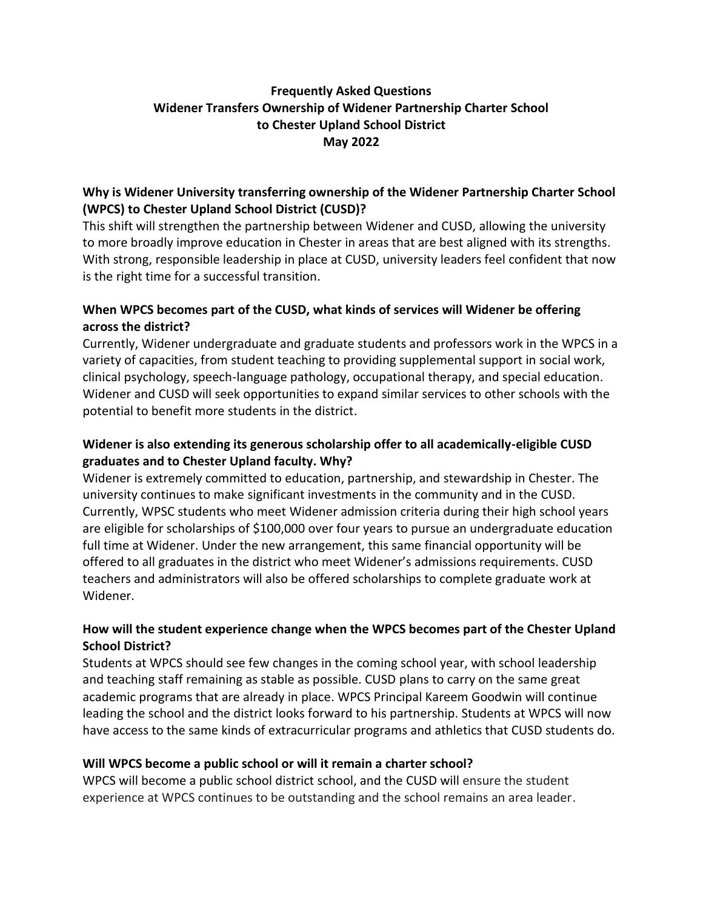# **Frequently Asked Questions Widener Transfers Ownership of Widener Partnership Charter School to Chester Upland School District May 2022**

# **Why is Widener University transferring ownership of the Widener Partnership Charter School (WPCS) to Chester Upland School District (CUSD)?**

This shift will strengthen the partnership between Widener and CUSD, allowing the university to more broadly improve education in Chester in areas that are best aligned with its strengths. With strong, responsible leadership in place at CUSD, university leaders feel confident that now is the right time for a successful transition.

# **When WPCS becomes part of the CUSD, what kinds of services will Widener be offering across the district?**

Currently, Widener undergraduate and graduate students and professors work in the WPCS in a variety of capacities, from student teaching to providing supplemental support in social work, clinical psychology, speech-language pathology, occupational therapy, and special education. Widener and CUSD will seek opportunities to expand similar services to other schools with the potential to benefit more students in the district.

# **Widener is also extending its generous scholarship offer to all academically-eligible CUSD graduates and to Chester Upland faculty. Why?**

Widener is extremely committed to education, partnership, and stewardship in Chester. The university continues to make significant investments in the community and in the CUSD. Currently, WPSC students who meet Widener admission criteria during their high school years are eligible for scholarships of \$100,000 over four years to pursue an undergraduate education full time at Widener. Under the new arrangement, this same financial opportunity will be offered to all graduates in the district who meet Widener's admissions requirements. CUSD teachers and administrators will also be offered scholarships to complete graduate work at Widener.

# **How will the student experience change when the WPCS becomes part of the Chester Upland School District?**

Students at WPCS should see few changes in the coming school year, with school leadership and teaching staff remaining as stable as possible. CUSD plans to carry on the same great academic programs that are already in place. WPCS Principal Kareem Goodwin will continue leading the school and the district looks forward to his partnership. Students at WPCS will now have access to the same kinds of extracurricular programs and athletics that CUSD students do.

### **Will WPCS become a public school or will it remain a charter school?**

WPCS will become a public school district school, and the CUSD will ensure the student experience at WPCS continues to be outstanding and the school remains an area leader.